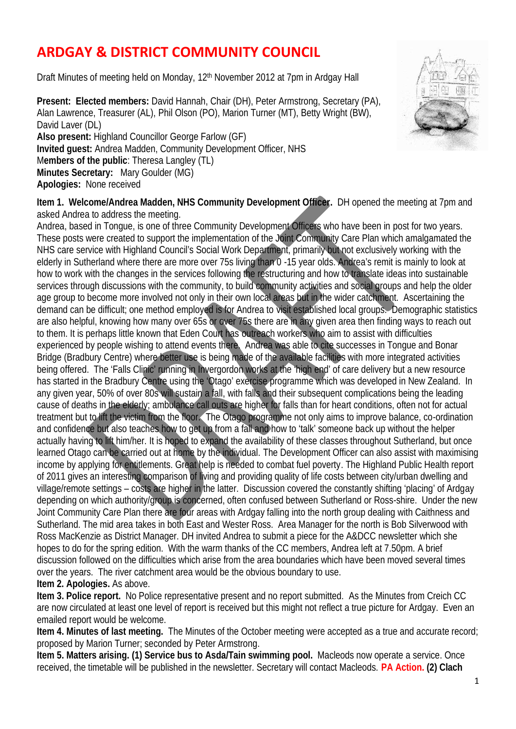## **ARDGAY & DISTRICT COMMUNITY COUNCIL**

Draft Minutes of meeting held on Monday, 12<sup>th</sup> November 2012 at 7pm in Ardgay Hall

**Present: Elected members:** David Hannah, Chair (DH), Peter Armstrong, Secretary (PA), Alan Lawrence, Treasurer (AL), Phil Olson (PO), Marion Turner (MT), Betty Wright (BW), David Laver (DL) **Also present:** Highland Councillor George Farlow (GF) **Invited guest:** Andrea Madden, Community Development Officer, NHS M**embers of the public**: Theresa Langley (TL) **Minutes Secretary:** Mary Goulder (MG) **Apologies:** None received



**Item 1. Welcome/Andrea Madden, NHS Community Development Officer.** DH opened the meeting at 7pm and asked Andrea to address the meeting.

Andrea, based in Tongue, is one of three Community Development Officers who have been in post for two years. These posts were created to support the implementation of the Joint Community Care Plan which amalgamated the NHS care service with Highland Council's Social Work Department, primarily but not exclusively working with the elderly in Sutherland where there are more over 75s living than 0 -15 year olds. Andrea's remit is mainly to look at how to work with the changes in the services following the restructuring and how to translate ideas into sustainable services through discussions with the community, to build community activities and social groups and help the older age group to become more involved not only in their own local areas but in the wider catchment. Ascertaining the demand can be difficult; one method employed is for Andrea to visit established local groups. Demographic statistics are also helpful, knowing how many over 65s or over 75s there are in any given area then finding ways to reach out to them. It is perhaps little known that Eden Court has outreach workers who aim to assist with difficulties experienced by people wishing to attend events there. Andrea was able to cite successes in Tongue and Bonar Bridge (Bradbury Centre) where better use is being made of the available facilities with more integrated activities being offered. The 'Falls Clinic' running in Invergordon works at the 'high end' of care delivery but a new resource has started in the Bradbury Centre using the 'Otago' exercise programme which was developed in New Zealand. In any given year, 50% of over 80s will sustain a fall, with falls and their subsequent complications being the leading cause of deaths in the elderly; ambulance call outs are higher for falls than for heart conditions, often not for actual treatment but to lift the victim from the floor. The Otago programme not only aims to improve balance, co-ordination and confidence but also teaches how to get up from a fall and how to 'talk' someone back up without the helper actually having to lift him/her. It is hoped to expand the availability of these classes throughout Sutherland, but once learned Otago can be carried out at home by the individual. The Development Officer can also assist with maximising income by applying for entitlements. Great help is needed to combat fuel poverty. The Highland Public Health report of 2011 gives an interesting comparison of living and providing quality of life costs between city/urban dwelling and village/remote settings – costs are higher in the latter. Discussion covered the constantly shifting 'placing' of Ardgay depending on which authority/group is concerned, often confused between Sutherland or Ross-shire. Under the new Joint Community Care Plan there are four areas with Ardgay falling into the north group dealing with Caithness and Sutherland. The mid area takes in both East and Wester Ross. Area Manager for the north is Bob Silverwood with Ross MacKenzie as District Manager. DH invited Andrea to submit a piece for the A&DCC newsletter which she hopes to do for the spring edition. With the warm thanks of the CC members, Andrea left at 7.50pm. A brief discussion followed on the difficulties which arise from the area boundaries which have been moved several times over the years. The river catchment area would be the obvious boundary to use. **Item 2. Apologies.** As above.

**Item 3. Police report.** No Police representative present and no report submitted. As the Minutes from Creich CC are now circulated at least one level of report is received but this might not reflect a true picture for Ardgay. Even an emailed report would be welcome.

**Item 4. Minutes of last meeting.** The Minutes of the October meeting were accepted as a true and accurate record; proposed by Marion Turner; seconded by Peter Armstrong.

**Item 5. Matters arising. (1) Service bus to Asda/Tain swimming pool.** Macleods now operate a service. Once received, the timetable will be published in the newsletter. Secretary will contact Macleods. **PA Action. (2) Clach**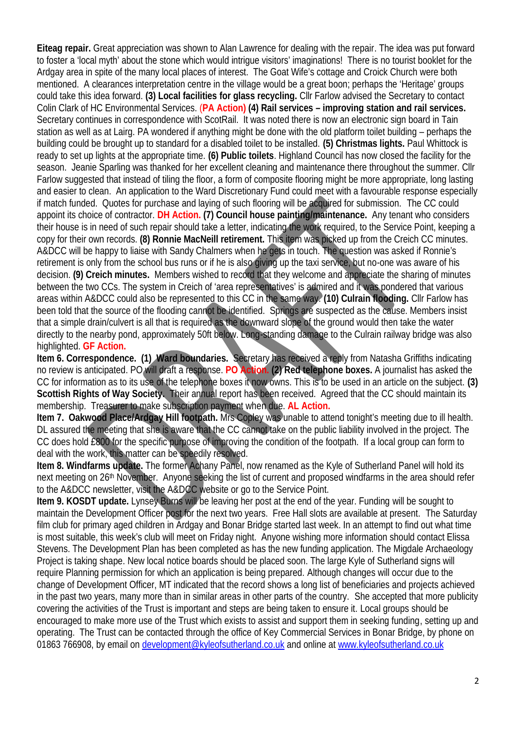**Eiteag repair.** Great appreciation was shown to Alan Lawrence for dealing with the repair. The idea was put forward to foster a 'local myth' about the stone which would intrigue visitors' imaginations! There is no tourist booklet for the Ardgay area in spite of the many local places of interest. The Goat Wife's cottage and Croick Church were both mentioned. A clearances interpretation centre in the village would be a great boon; perhaps the 'Heritage' groups could take this idea forward. **(3) Local facilities for glass recycling.** Cllr Farlow advised the Secretary to contact Colin Clark of HC Environmental Services. (**PA Action) (4) Rail services – improving station and rail services.** Secretary continues in correspondence with ScotRail. It was noted there is now an electronic sign board in Tain station as well as at Lairg. PA wondered if anything might be done with the old platform toilet building – perhaps the building could be brought up to standard for a disabled toilet to be installed. **(5) Christmas lights.** Paul Whittock is ready to set up lights at the appropriate time. **(6) Public toilets**. Highland Council has now closed the facility for the season. Jeanie Sparling was thanked for her excellent cleaning and maintenance there throughout the summer. ClIr Farlow suggested that instead of tiling the floor, a form of composite flooring might be more appropriate, long lasting and easier to clean. An application to the Ward Discretionary Fund could meet with a favourable response especially if match funded. Quotes for purchase and laying of such flooring will be acquired for submission. The CC could appoint its choice of contractor. **DH Action. (7) Council house painting/maintenance.** Any tenant who considers their house is in need of such repair should take a letter, indicating the work required, to the Service Point, keeping a copy for their own records. **(8) Ronnie MacNeill retirement.** This item was picked up from the Creich CC minutes. A&DCC will be happy to liaise with Sandy Chalmers when he gets in touch. The question was asked if Ronnie's retirement is only from the school bus runs or if he is also giving up the taxi service, but no-one was aware of his decision. **(9) Creich minutes.** Members wished to record that they welcome and appreciate the sharing of minutes between the two CCs. The system in Creich of 'area representatives' is admired and it was pondered that various areas within A&DCC could also be represented to this CC in the same way. **(10) Culrain flooding.** Cllr Farlow has been told that the source of the flooding cannot be identified. Springs are suspected as the cause. Members insist that a simple drain/culvert is all that is required as the downward slope of the ground would then take the water directly to the nearby pond, approximately 50ft below. Long-standing damage to the Culrain railway bridge was also highlighted. **GF Action.**

**Item 6. Correspondence. (1) Ward boundaries.** Secretary has received a reply from Natasha Griffiths indicating no review is anticipated. PO will draft a response. **PO Action. (2) Red telephone boxes.** A journalist has asked the CC for information as to its use of the telephone boxes it now owns. This is to be used in an article on the subject. **(3) Scottish Rights of Way Society.** Their annual report has been received. Agreed that the CC should maintain its membership. Treasurer to make subscription payment when due. **AL Action.**

**Item 7. Oakwood Place/Ardgay Hill footpath.** Mrs Copley was unable to attend tonight's meeting due to ill health. DL assured the meeting that she is aware that the CC cannot take on the public liability involved in the project. The CC does hold £800 for the specific purpose of improving the condition of the footpath. If a local group can form to deal with the work, this matter can be speedily resolved.

**Item 8. Windfarms update.** The former Achany Panel, now renamed as the Kyle of Sutherland Panel will hold its next meeting on 26<sup>th</sup> November. Anyone seeking the list of current and proposed windfarms in the area should refer to the A&DCC newsletter, visit the A&DCC website or go to the Service Point.

**Item 9. KOSDT update.** Lynsey Burns will be leaving her post at the end of the year. Funding will be sought to maintain the Development Officer post for the next two years. Free Hall slots are available at present. The Saturday film club for primary aged children in Ardgay and Bonar Bridge started last week. In an attempt to find out what time is most suitable, this week's club will meet on Friday night. Anyone wishing more information should contact Elissa Stevens. The Development Plan has been completed as has the new funding application. The Migdale Archaeology Project is taking shape. New local notice boards should be placed soon. The large Kyle of Sutherland signs will require Planning permission for which an application is being prepared. Although changes will occur due to the change of Development Officer, MT indicated that the record shows a long list of beneficiaries and projects achieved in the past two years, many more than in similar areas in other parts of the country. She accepted that more publicity covering the activities of the Trust is important and steps are being taken to ensure it. Local groups should be encouraged to make more use of the Trust which exists to assist and support them in seeking funding, setting up and operating. The Trust can be contacted through the office of Key Commercial Services in Bonar Bridge, by phone on 01863 766908, by email on development@kyleofsutherland.co.uk and online at www.kyleofsutherland.co.uk